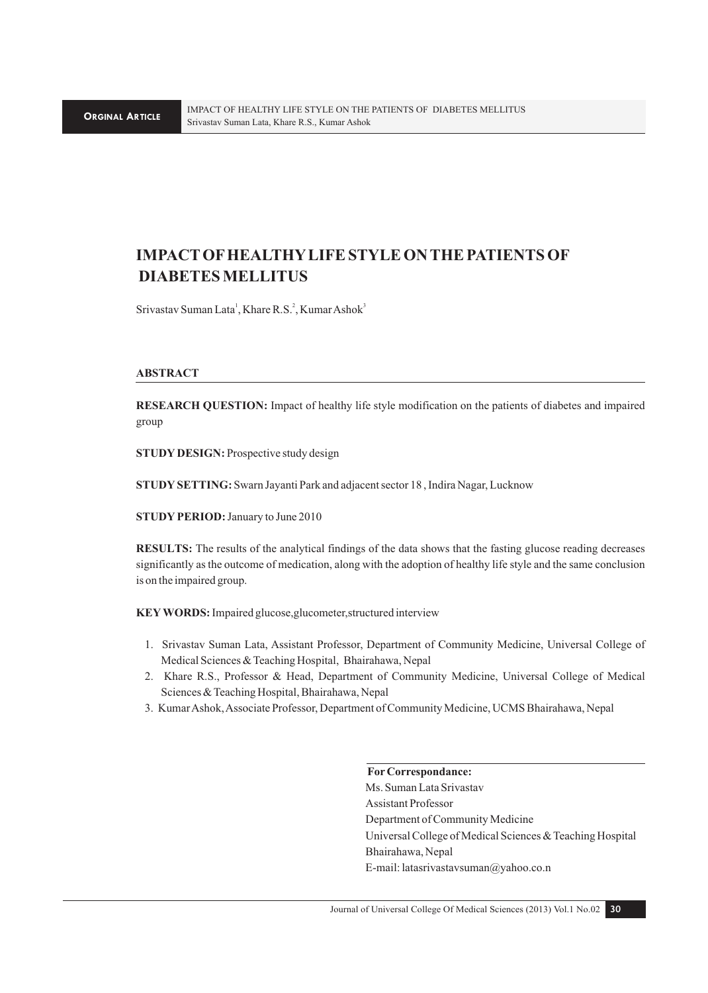### **IMPACT OF HEALTHY LIFE STYLE ON THE PATIENTS OF DIABETES MELLITUS**

Srivastav Suman Lata<sup>1</sup>, Khare R.S.<sup>2</sup>, Kumar Ashok<sup>3</sup>

#### **ABSTRACT**

**RESEARCH QUESTION:** Impact of healthy life style modification on the patients of diabetes and impaired group

**STUDY DESIGN:** Prospective study design

**STUDY SETTING:** Swarn Jayanti Park and adjacent sector 18 ,Indira Nagar, Lucknow

**STUDY PERIOD:** January to June 2010

**RESULTS:** The results of the analytical findings of the data shows that the fasting glucose reading decreases significantly as the outcome of medication, along with the adoption of healthy life style and the same conclusion is on the impaired group.

**KEY WORDS:** Impaired glucose,glucometer,structured interview

- 1. Srivastav Suman Lata, Assistant Professor, Department of Community Medicine, Universal College of Medical Sciences & Teaching Hospital, Bhairahawa, Nepal
- 2. Khare R.S., Professor & Head, Department of Community Medicine, Universal College of Medical Sciences & Teaching Hospital, Bhairahawa, Nepal
- 3. Kumar Ashok, Associate Professor, Department of Community Medicine, UCMS Bhairahawa, Nepal

#### **For Correspondance:**

Ms. Suman Lata Srivastav Assistant Professor Department of Community Medicine Universal College of Medical Sciences & Teaching Hospital Bhairahawa, Nepal E-mail: latasrivastavsuman@yahoo.co.n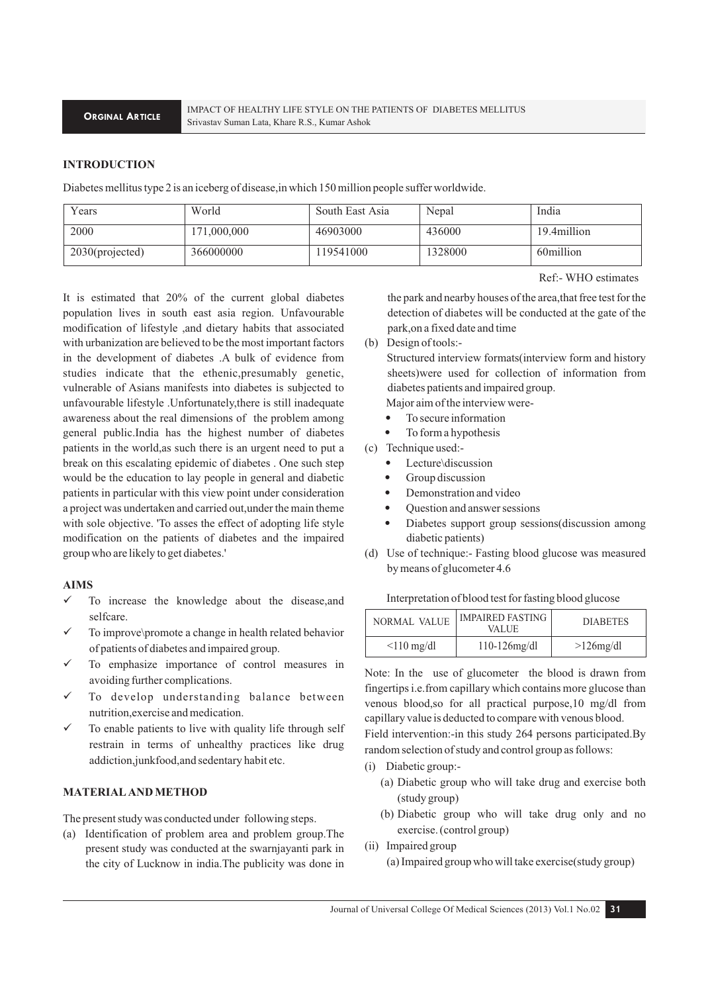#### **INTRODUCTION**

Diabetes mellitus type 2 is an iceberg of disease,in which 150 million people suffer worldwide.

| Years           | World       | South East Asia | Nepal   | India       |
|-----------------|-------------|-----------------|---------|-------------|
| 2000            | 171.000.000 | 46903000        | 436000  | 19.4million |
| 2030(projected) | 366000000   | 19541000        | 1328000 | 60million   |

Ref:- WHO estimates

It is estimated that 20% of the current global diabetes population lives in south east asia region. Unfavourable modification of lifestyle ,and dietary habits that associated with urbanization are believed to be the most important factors in the development of diabetes .A bulk of evidence from studies indicate that the ethenic,presumably genetic, vulnerable of Asians manifests into diabetes is subjected to unfavourable lifestyle .Unfortunately,there is still inadequate awareness about the real dimensions of the problem among general public.India has the highest number of diabetes patients in the world,as such there is an urgent need to put a break on this escalating epidemic of diabetes . One such step would be the education to lay people in general and diabetic patients in particular with this view point under consideration a project was undertaken and carried out,under the main theme with sole objective. 'To asses the effect of adopting life style modification on the patients of diabetes and the impaired group who are likely to get diabetes.'

#### **AIMS**

- $\checkmark$  To increase the knowledge about the disease, and selfcare.
- To improve\promote a change in health related behavior of patients of diabetes and impaired group.
- To emphasize importance of control measures in avoiding further complications.
- To develop understanding balance between nutrition,exercise and medication.
- To enable patients to live with quality life through self restrain in terms of unhealthy practices like drug addiction,junkfood,and sedentary habit etc.

#### **MATERIAL AND METHOD**

The present study was conducted under following steps.

(a) Identification of problem area and problem group.The present study was conducted at the swarnjayanti park in the city of Lucknow in india.The publicity was done in

the park and nearby houses of the area,that free test for the detection of diabetes will be conducted at the gate of the park,on a fixed date and time

(b) Design of tools:-

Structured interview formats(interview form and history sheets)were used for collection of information from diabetes patients and impaired group.

Major aim of the interview were-

- To secure information
- To form a hypothesis
- (c) Technique used:-
	- Lecture\discussion
	- Group discussion
	- Demonstration and video
	- Question and answer sessions
	- Diabetes support group sessions(discussion among diabetic patients)
- (d) Use of technique:- Fasting blood glucose was measured by means of glucometer 4.6

#### Interpretation of blood test for fasting blood glucose

| NORMAL VALUE    | <b>IMPAIRED FASTING</b><br><b>VALUE</b> | <b>DIABETES</b> |
|-----------------|-----------------------------------------|-----------------|
| $\leq$ 10 mg/dl | $110-126$ mg/dl                         | $>126$ mg/dl    |

Note: In the use of glucometer the blood is drawn from fingertips i.e.from capillary which contains more glucose than venous blood,so for all practical purpose,10 mg/dl from capillary value is deducted to compare with venous blood.

Field intervention:-in this study 264 persons participated.By random selection of study and control group as follows:

- (i) Diabetic group:-
	- (a) Diabetic group who will take drug and exercise both (study group)
	- (b) Diabetic group who will take drug only and no exercise. (control group)
- (ii) Impaired group
	- (a) Impaired group who will take exercise(study group)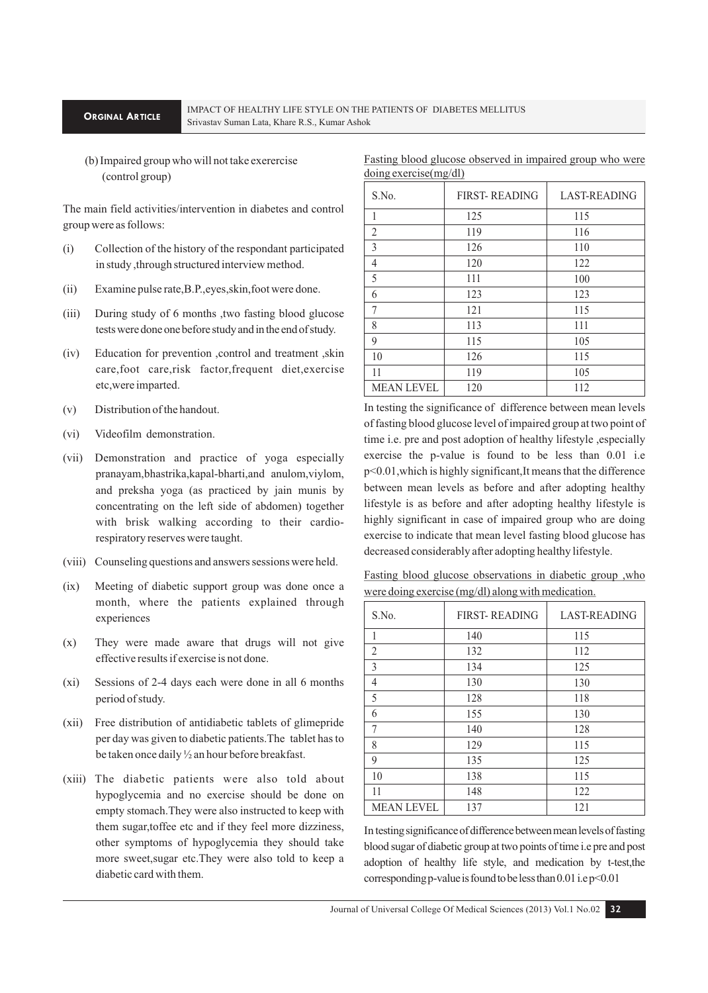#### **ORGINAL ARTICLE**

#### IMPACT OF HEALTHY LIFE STYLE ON THE PATIENTS OF DIABETES MELLITUS Srivastav Suman Lata, Khare R.S., Kumar Ashok

11

MEAN LEVEL

 (b) Impaired group who will not take exerercise (control group)

The main field activities/intervention in diabetes and control group were as follows:

- (i) Collection of the history of the respondant participated in study ,through structured interview method.
- (ii) Examine pulse rate,B.P.,eyes,skin,foot were done.
- (iii) During study of 6 months ,two fasting blood glucose tests were done one before study and in the end of study.
- (iv) Education for prevention ,control and treatment ,skin care,foot care,risk factor,frequent diet,exercise etc,were imparted.
- (v) Distribution of the handout.
- (vi) Videofilm demonstration.
- (vii) Demonstration and practice of yoga especially pranayam,bhastrika,kapal-bharti,and anulom,viylom, and preksha yoga (as practiced by jain munis by concentrating on the left side of abdomen) together with brisk walking according to their cardiorespiratory reserves were taught.
- (viii) Counseling questions and answers sessions were held.
- (ix) Meeting of diabetic support group was done once a month, where the patients explained through experiences
- (x) They were made aware that drugs will not give effective results if exercise is not done.
- (xi) Sessions of 2-4 days each were done in all 6 months period of study.
- (xii) Free distribution of antidiabetic tablets of glimepride per day was given to diabetic patients.The tablet has to be taken once daily ½ an hour before breakfast.
- (xiii) The diabetic patients were also told about hypoglycemia and no exercise should be done on empty stomach.They were also instructed to keep with them sugar,toffee etc and if they feel more dizziness, other symptoms of hypoglycemia they should take more sweet,sugar etc.They were also told to keep a diabetic card with them.

| S.No. | <b>FIRST-READING</b> | <b>LAST-READING</b> |
|-------|----------------------|---------------------|
| 1     | 125                  | 115                 |
| 2     | 119                  | 116                 |
| 3     | 126                  | 110                 |
| 4     | 120                  | 122                 |
| 5     | 111                  | 100                 |
| 6     | 123                  | 123                 |
| 7     | 121                  | 115                 |
| 8     | 113                  | 111                 |
| 9     | 115                  | 105                 |
| 10    | 126                  | 115                 |

119 120

Fasting blood glucose observed in impaired group who were doing exercise(mg/dl)

In testing the significance of difference between mean levels of fasting blood glucose level of impaired group at two point of time i.e. pre and post adoption of healthy lifestyle , especially exercise the p-value is found to be less than 0.01 i.e p<0.01,which is highly significant,It means that the difference between mean levels as before and after adopting healthy lifestyle is as before and after adopting healthy lifestyle is highly significant in case of impaired group who are doing exercise to indicate that mean level fasting blood glucose has decreased considerably after adopting healthy lifestyle.

105 112

Fasting blood glucose observations in diabetic group ,who were doing exercise (mg/dl) along with medication.

| S.No.             | <b>FIRST-READING</b> | <b>LAST-READING</b> |
|-------------------|----------------------|---------------------|
| 1                 | 140                  | 115                 |
| $\overline{2}$    | 132                  | 112                 |
| 3                 | 134                  | 125                 |
| 4                 | 130                  | 130                 |
| 5                 | 128                  | 118                 |
| 6                 | 155                  | 130                 |
| 7                 | 140                  | 128                 |
| 8                 | 129                  | 115                 |
| 9                 | 135                  | 125                 |
| 10                | 138                  | 115                 |
| 11                | 148                  | 122                 |
| <b>MEAN LEVEL</b> | 137                  | 121                 |

In testing significance of difference between mean levels of fasting blood sugar of diabetic group at two points of time i.e pre and post adoption of healthy life style, and medication by t-test,the corresponding p-value is found to be less than 0.01 i.e p<0.01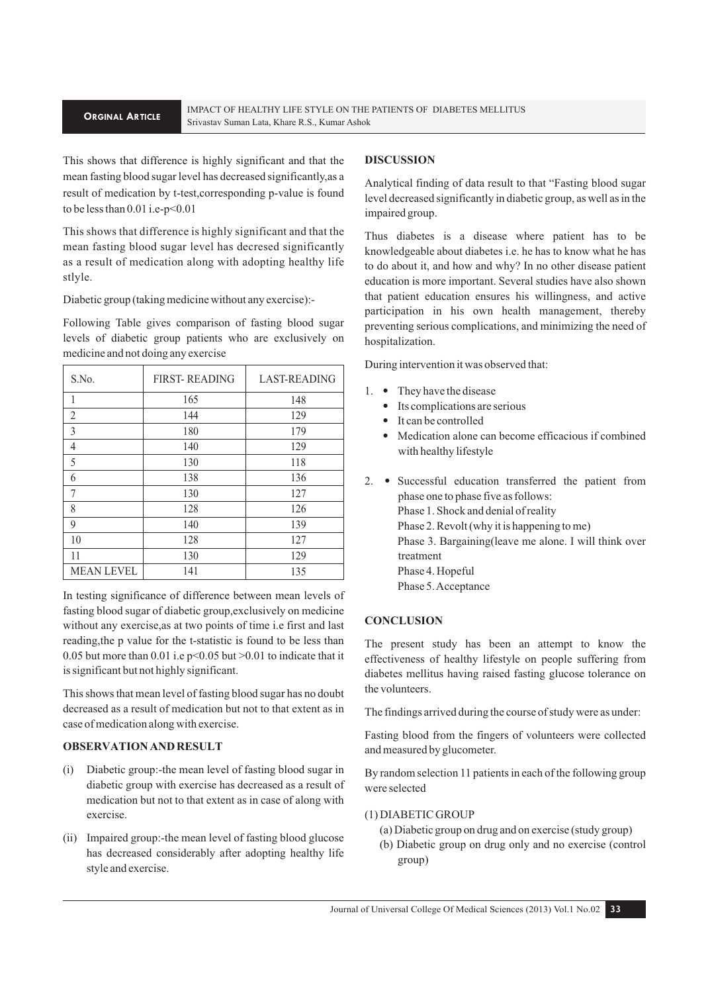This shows that difference is highly significant and that the mean fasting blood sugar level has decreased significantly,as a result of medication by t-test,corresponding p-value is found to be less than 0.01 i.e-p<0.01

This shows that difference is highly significant and that the mean fasting blood sugar level has decresed significantly as a result of medication along with adopting healthy life stlyle.

Diabetic group (taking medicine without any exercise):-

Following Table gives comparison of fasting blood sugar levels of diabetic group patients who are exclusively on medicine and not doing any exercise

| S.No.             | <b>FIRST-READING</b> | <b>LAST-READING</b> |
|-------------------|----------------------|---------------------|
| 1                 | 165                  | 148                 |
| $\overline{2}$    | 144                  | 129                 |
| 3                 | 180                  | 179                 |
| 4                 | 140                  | 129                 |
| 5                 | 130                  | 118                 |
| 6                 | 138                  | 136                 |
| 7                 | 130                  | 127                 |
| 8                 | 128                  | 126                 |
| 9                 | 140                  | 139                 |
| 10                | 128                  | 127                 |
| 11                | 130                  | 129                 |
| <b>MEAN LEVEL</b> | 141                  | 135                 |

In testing significance of difference between mean levels of fasting blood sugar of diabetic group,exclusively on medicine without any exercise,as at two points of time i.e first and last reading,the p value for the t-statistic is found to be less than 0.05 but more than 0.01 i.e  $p<0.05$  but  $>0.01$  to indicate that it is significant but not highly significant.

This shows that mean level of fasting blood sugar has no doubt decreased as a result of medication but not to that extent as in case of medication along with exercise.

#### **OBSERVATION AND RESULT**

- Diabetic group:-the mean level of fasting blood sugar in diabetic group with exercise has decreased as a result of medication but not to that extent as in case of along with exercise.
- (ii) Impaired group:-the mean level of fasting blood glucose has decreased considerably after adopting healthy life style and exercise.

#### **DISCUSSION**

Analytical finding of data result to that "Fasting blood sugar level decreased significantly in diabetic group, as well as in the impaired group.

Thus diabetes is a disease where patient has to be knowledgeable about diabetes i.e. he has to know what he has to do about it, and how and why? In no other disease patient education is more important. Several studies have also shown that patient education ensures his willingness, and active participation in his own health management, thereby preventing serious complications, and minimizing the need of hospitalization.

During intervention it was observed that:

- 1. They have the disease
	- Its complications are serious
	- It can be controlled
	- Medication alone can become efficacious if combined with healthy lifestyle
- 2. Successful education transferred the patient from phase one to phase five as follows: Phase 1. Shock and denial of reality Phase 2. Revolt (why it is happening to me) Phase 3. Bargaining(leave me alone. I will think over treatment Phase 4. Hopeful Phase 5. Acceptance

#### **CONCLUSION**

The present study has been an attempt to know the effectiveness of healthy lifestyle on people suffering from diabetes mellitus having raised fasting glucose tolerance on the volunteers.

The findings arrived during the course of study were as under:

Fasting blood from the fingers of volunteers were collected and measured by glucometer.

By random selection 11 patients in each of the following group were selected

#### (1) DIABETIC GROUP

- (a) Diabetic group on drug and on exercise (study group)
- (b) Diabetic group on drug only and no exercise (control group)